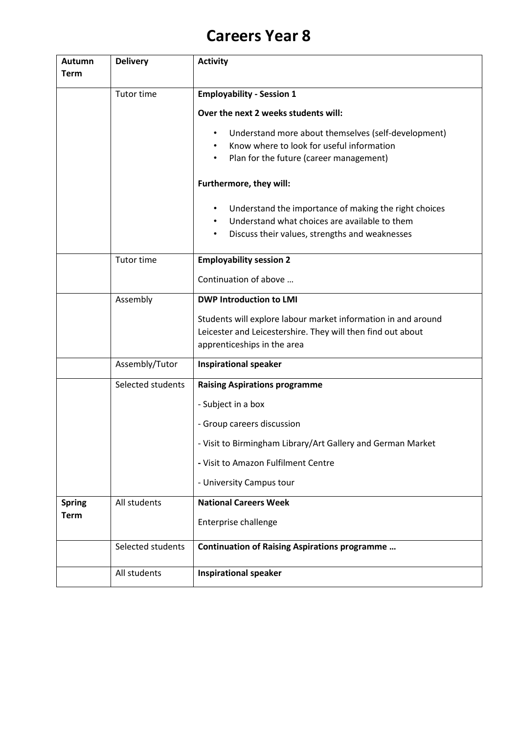## **Careers Year 8**

| <b>Autumn</b> | <b>Delivery</b>   | <b>Activity</b>                                                  |
|---------------|-------------------|------------------------------------------------------------------|
| <b>Term</b>   |                   |                                                                  |
|               | Tutor time        | <b>Employability - Session 1</b>                                 |
|               |                   | Over the next 2 weeks students will:                             |
|               |                   | Understand more about themselves (self-development)<br>$\bullet$ |
|               |                   | Know where to look for useful information                        |
|               |                   | Plan for the future (career management)<br>$\bullet$             |
|               |                   | Furthermore, they will:                                          |
|               |                   | Understand the importance of making the right choices<br>٠       |
|               |                   | Understand what choices are available to them                    |
|               |                   | Discuss their values, strengths and weaknesses<br>$\bullet$      |
|               | Tutor time        | <b>Employability session 2</b>                                   |
|               |                   | Continuation of above                                            |
|               | Assembly          | <b>DWP Introduction to LMI</b>                                   |
|               |                   | Students will explore labour market information in and around    |
|               |                   | Leicester and Leicestershire. They will then find out about      |
|               |                   | apprenticeships in the area                                      |
|               | Assembly/Tutor    | <b>Inspirational speaker</b>                                     |
|               | Selected students | <b>Raising Aspirations programme</b>                             |
|               |                   | - Subject in a box                                               |
|               |                   | - Group careers discussion                                       |
|               |                   | - Visit to Birmingham Library/Art Gallery and German Market      |
|               |                   | - Visit to Amazon Fulfilment Centre                              |
|               |                   | - University Campus tour                                         |
| <b>Spring</b> | All students      | <b>National Careers Week</b>                                     |
| <b>Term</b>   |                   | Enterprise challenge                                             |
|               | Selected students | <b>Continuation of Raising Aspirations programme</b>             |
|               | All students      | <b>Inspirational speaker</b>                                     |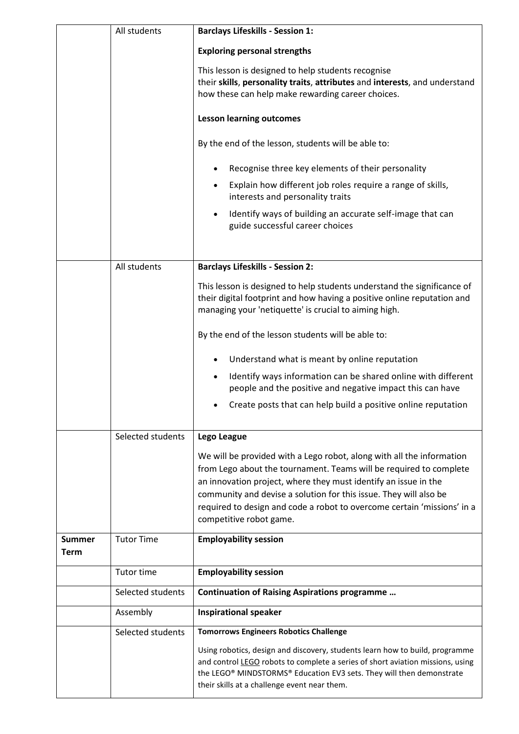|                       | All students      | <b>Barclays Lifeskills - Session 1:</b>                                                                                                                                                                                                                                                                                                                                                   |
|-----------------------|-------------------|-------------------------------------------------------------------------------------------------------------------------------------------------------------------------------------------------------------------------------------------------------------------------------------------------------------------------------------------------------------------------------------------|
|                       |                   | <b>Exploring personal strengths</b>                                                                                                                                                                                                                                                                                                                                                       |
|                       |                   | This lesson is designed to help students recognise<br>their skills, personality traits, attributes and interests, and understand<br>how these can help make rewarding career choices.                                                                                                                                                                                                     |
|                       |                   | <b>Lesson learning outcomes</b>                                                                                                                                                                                                                                                                                                                                                           |
|                       |                   | By the end of the lesson, students will be able to:                                                                                                                                                                                                                                                                                                                                       |
|                       |                   | Recognise three key elements of their personality                                                                                                                                                                                                                                                                                                                                         |
|                       |                   | Explain how different job roles require a range of skills,<br>interests and personality traits                                                                                                                                                                                                                                                                                            |
|                       |                   | Identify ways of building an accurate self-image that can<br>guide successful career choices                                                                                                                                                                                                                                                                                              |
|                       | All students      | <b>Barclays Lifeskills - Session 2:</b>                                                                                                                                                                                                                                                                                                                                                   |
|                       |                   | This lesson is designed to help students understand the significance of<br>their digital footprint and how having a positive online reputation and<br>managing your 'netiquette' is crucial to aiming high.                                                                                                                                                                               |
|                       |                   | By the end of the lesson students will be able to:                                                                                                                                                                                                                                                                                                                                        |
|                       |                   | Understand what is meant by online reputation                                                                                                                                                                                                                                                                                                                                             |
|                       |                   | Identify ways information can be shared online with different<br>$\bullet$<br>people and the positive and negative impact this can have                                                                                                                                                                                                                                                   |
|                       |                   | Create posts that can help build a positive online reputation                                                                                                                                                                                                                                                                                                                             |
|                       | Selected students | Lego League                                                                                                                                                                                                                                                                                                                                                                               |
|                       |                   | We will be provided with a Lego robot, along with all the information<br>from Lego about the tournament. Teams will be required to complete<br>an innovation project, where they must identify an issue in the<br>community and devise a solution for this issue. They will also be<br>required to design and code a robot to overcome certain 'missions' in a<br>competitive robot game. |
| <b>Summer</b><br>Term | <b>Tutor Time</b> | <b>Employability session</b>                                                                                                                                                                                                                                                                                                                                                              |
|                       | Tutor time        | <b>Employability session</b>                                                                                                                                                                                                                                                                                                                                                              |
|                       | Selected students | <b>Continuation of Raising Aspirations programme</b>                                                                                                                                                                                                                                                                                                                                      |
|                       | Assembly          | <b>Inspirational speaker</b>                                                                                                                                                                                                                                                                                                                                                              |
|                       | Selected students | <b>Tomorrows Engineers Robotics Challenge</b>                                                                                                                                                                                                                                                                                                                                             |
|                       |                   | Using robotics, design and discovery, students learn how to build, programme<br>and control LEGO robots to complete a series of short aviation missions, using<br>the LEGO® MINDSTORMS® Education EV3 sets. They will then demonstrate<br>their skills at a challenge event near them.                                                                                                    |